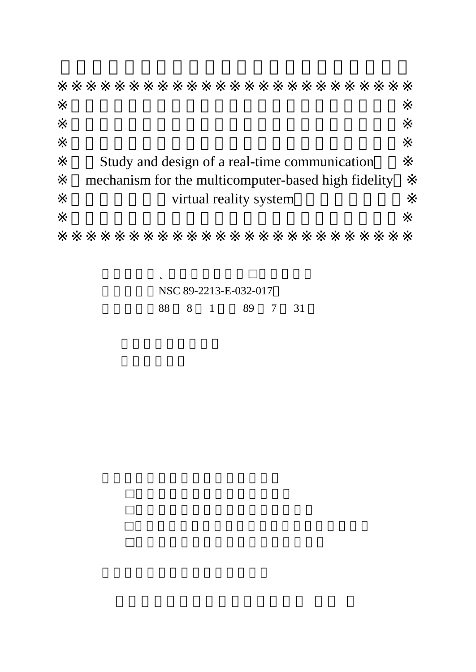## Study and design of a real-time communication mechanism for the multicomputer-based high fidelity virtual reality system

NSC 89-2213-E-032-017 執行期間 88 8 1 日至 89 7 31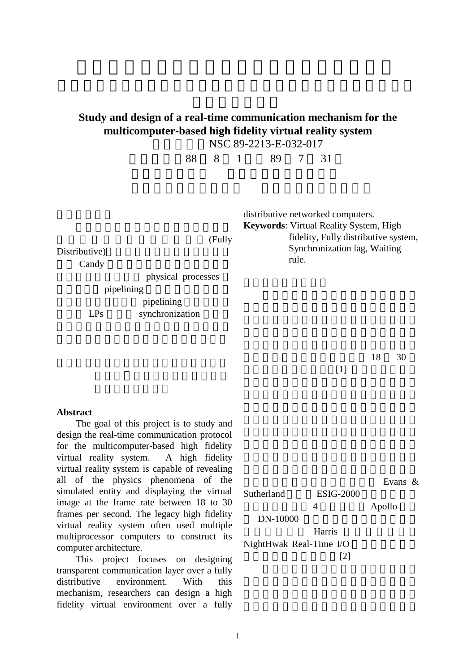## **Study and design of a real-time communication mechanism for the multicomputer-based high fidelity virtual reality system**

NSC 89-2213-E-032-017

執行期限 88 8 1 日至 89 7 31

(Fully Distributive) Candy physical processes pipelining pipelining LPs synchronization distributive networked computers. **Keywords**: Virtual Reality System, High fidelity, Fully distributive system, Synchronization lag, Waiting rule.

> 能達到虛擬實境系統的每秒約 18 30  $[1]$

**Abstract**

The goal of this project is to study and design the real-time communication protocol for the multicomputer-based high fidelity virtual reality system. A high fidelity virtual reality system is capable of revealing all of the physics phenomena of the simulated entity and displaying the virtual image at the frame rate between 18 to 30 frames per second. The legacy high fidelity virtual reality system often used multiple multiprocessor computers to construct its computer architecture.

This project focuses on designing transparent communication layer over a fully distributive environment. With this mechanism, researchers can design a high fidelity virtual environment over a fully

Evans  $\&$ Sutherland ESIG-2000 4 Apollo DN-10000 Harris NightHwak Real-Time I/O  $[2]$ 

1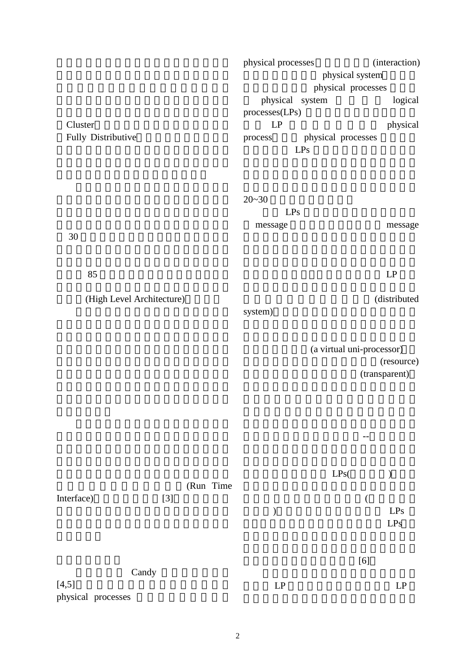|                           | physical processes            | (interaction) |  |
|---------------------------|-------------------------------|---------------|--|
|                           | physical system               |               |  |
|                           | physical processes            |               |  |
|                           | physical system               | logical       |  |
|                           | processes(LPs)                |               |  |
| Cluster                   | LP                            | physical      |  |
| Fully Distributive        | physical processes<br>process |               |  |
|                           | LPs                           |               |  |
|                           |                               |               |  |
|                           |                               |               |  |
|                           | $20 - 30$                     |               |  |
|                           | LPs                           |               |  |
|                           | message                       | message       |  |
| 30                        |                               |               |  |
|                           |                               |               |  |
| 85                        |                               | $\mathsf{LP}$ |  |
|                           |                               |               |  |
| (High Level Architecture) |                               | (distributed  |  |
|                           | system)                       |               |  |
|                           |                               |               |  |
|                           | (a virtual uni-processor)     |               |  |
|                           |                               |               |  |

(resource)

(transparent)

自於分散式作業系統的精神--提供一個在

(Run Time Interface) [3] Candy  $[4,5]$  $\begin{tabular}{ll} \bf LPs( & \color{red}{\bf \color{blue}{\bf \color{blue}{\bf \color{blue}{\bf \color{blue}{\bf \color{blue}{\bf \color{blue}{\bf \color{blue}{\bf \color{blue}{\bf \color{blue}{\bf \color{blue}{\bf \color{blue}{\bf \color{blue}{\bf \color{blue}{\bf \color{blue}{\bf \color{blue}{\bf \color{blue}{\bf \color{blue}{\bf \color{blue}{\bf \color{blue}{\bf \color{blue}{\bf \color{blue}{\bf \color{blue}{\bf \color{blue}{\bf \color{blue}{\bf \color{blue}{\bf \color{blue}{\bf \color{blue}{\bf \color{blue}{\bf \color{$  $\overline{a}$  $\mathbf{L} \mathbf{P} \mathbf{s}$  $LPs$  $[6]$  $LP$   $LP$ 

physical processes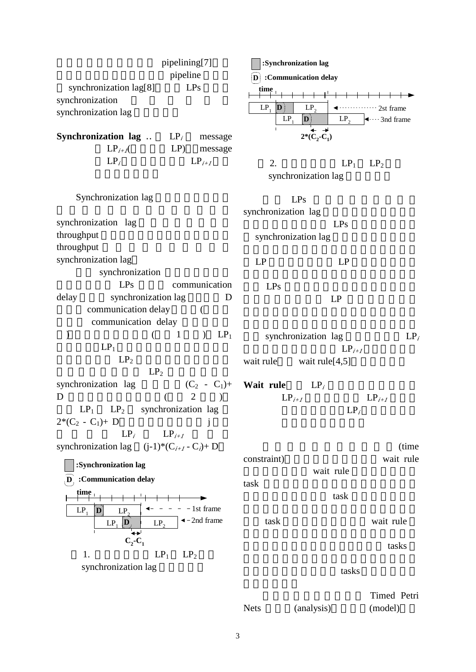| pipelining[7]                                                         | :Synchronization lag               |                                                    |                                                               |
|-----------------------------------------------------------------------|------------------------------------|----------------------------------------------------|---------------------------------------------------------------|
| pipeline                                                              | D :Communication delay             |                                                    |                                                               |
| synchronization lag[8]<br>LPs                                         | time                               |                                                    |                                                               |
| synchronization<br>synchronization lag                                | $LP_1$<br>$ \mathbf{D} $<br>$LP_1$ | LP <sub>2</sub><br>$\mathbf{D}$<br>LP <sub>2</sub> | $\cdots$ 2st frame<br>$\blacktriangleleft$ $\cdots$ 3nd frame |
| <b>Synchronization lag</b><br>$LP_i$<br>message                       |                                    | $2*(C_2-C_1)$                                      |                                                               |
| $LP_{i+1}$<br>LP)<br>message                                          |                                    |                                                    |                                                               |
| $LP_i$<br>$LP_{i+1}$                                                  | 2.                                 | $LP_1$                                             | LP <sub>2</sub>                                               |
|                                                                       |                                    | synchronization lag                                |                                                               |
| Synchronization lag                                                   |                                    |                                                    |                                                               |
|                                                                       | LPs<br>synchronization lag         |                                                    |                                                               |
| synchronization lag                                                   |                                    | LPs                                                |                                                               |
| throughput                                                            | synchronization lag                |                                                    |                                                               |
| throughput                                                            |                                    |                                                    |                                                               |
| synchronization lag                                                   | LP                                 | LP                                                 |                                                               |
| synchronization                                                       |                                    |                                                    |                                                               |
| LPs<br>communication                                                  | LPs                                |                                                    |                                                               |
| synchronization lag<br>delay<br>D                                     |                                    | LP                                                 |                                                               |
| communication delay<br>€                                              |                                    |                                                    |                                                               |
| communication delay                                                   |                                    |                                                    |                                                               |
| $LP_1$<br>$\mathbf{1}$<br>$\left($<br>$\mathcal{L}$<br>$\mathcal{)}$  | synchronization lag<br>$LP_i$      |                                                    |                                                               |
| $LP_1$                                                                |                                    | $LP_{i+1}$                                         |                                                               |
| LP <sub>2</sub>                                                       | wait rule                          | wait rule $[4,5]$                                  |                                                               |
| LP <sub>2</sub>                                                       |                                    |                                                    |                                                               |
| $(C_2 - C_1)$ + Wait rule<br>synchronization lag                      |                                    | $LP_i$                                             |                                                               |
| $\overline{2}$<br>D                                                   | $LP_{i+1}$                         |                                                    | $LP_{i+1}$                                                    |
| $LP_1$<br>synchronization lag<br>LP <sub>2</sub>                      |                                    | $LP_i$                                             |                                                               |
| $2*(C_2 - C_1) + D$<br>j                                              |                                    |                                                    |                                                               |
| $LP_i$ $LP_{i+1}$                                                     |                                    |                                                    |                                                               |
| synchronization lag $(j-1)*(C_{i+1}-C_i)+D$                           |                                    |                                                    | (time<br>wait rule                                            |
| :Synchronization lag                                                  | constraint)                        | wait rule                                          |                                                               |
| :Communication delay<br>$\mathbf{D}$                                  | task                               |                                                    |                                                               |
| țime                                                                  |                                    | task                                               |                                                               |
| - 1st frame<br>$LP_1$<br>D<br>LP <sub>2</sub>                         |                                    |                                                    |                                                               |
| $\triangleleft$ - 2nd frame<br>$LP_1$ $\mathbf{D}$<br>LP <sub>2</sub> | task                               |                                                    | wait rule                                                     |
|                                                                       |                                    |                                                    |                                                               |
| $C_2$ - $C_1$                                                         |                                    |                                                    | tasks                                                         |
| 1.<br>$LP_1$<br>LP <sub>2</sub>                                       |                                    |                                                    |                                                               |
| synchronization lag                                                   | tasks                              |                                                    |                                                               |
|                                                                       |                                    |                                                    | Timed Petri                                                   |
|                                                                       | <b>Nets</b>                        | (analysis)                                         | (model)                                                       |

3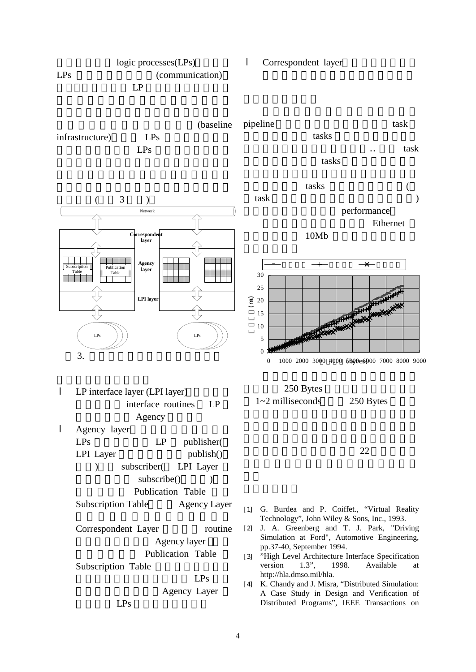



Publication Table

Subscription Table

LPs

Agency layer

Agency Layer

 $LPs$ 

Simulation at Ford", Automotive Engineering, pp.37-40, September 1994.

[3] "High Level Architecture Interface Specification version 1.3", 1998. Available at http://hla.dmso.mil/hla.

[4] K. Chandy and J. Misra, "Distributed Simulation: A Case Study in Design and Verification of Distributed Programs", IEEE Transactions on